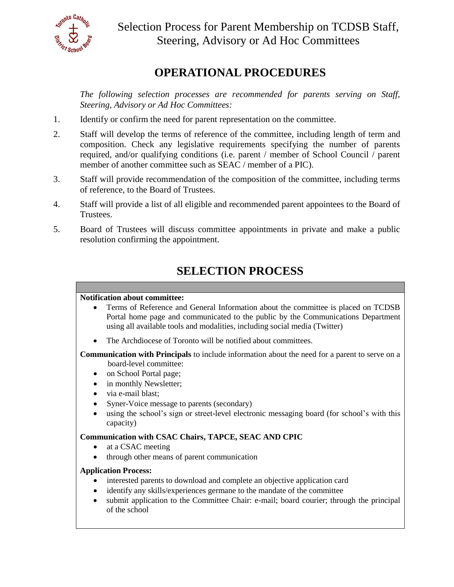

# **OPERATIONAL PROCEDURES**

*The following selection processes are recommended for parents serving on Staff, Steering, Advisory or Ad Hoc Committees:* 

- 1. Identify or confirm the need for parent representation on the committee.
- 2. Staff will develop the terms of reference of the committee, including length of term and composition. Check any legislative requirements specifying the number of parents required, and/or qualifying conditions (i.e. parent / member of School Council / parent member of another committee such as SEAC / member of a PIC).
- 3. Staff will provide recommendation of the composition of the committee, including terms of reference, to the Board of Trustees.
- 4. Staff will provide a list of all eligible and recommended parent appointees to the Board of Trustees.
- 5. Board of Trustees will discuss committee appointments in private and make a public resolution confirming the appointment.

## **SELECTION PROCESS**

### **Notification about committee:**

- Terms of Reference and General Information about the committee is placed on TCDSB Portal home page and communicated to the public by the Communications Department using all available tools and modalities, including social media (Twitter)
- The Archdiocese of Toronto will be notified about committees.

 **Communication with Principals** to include information about the need for a parent to serve on a board-level committee:

- on School Portal page;
- in monthly Newsletter;
- via e-mail blast:
- Syner-Voice message to parents (secondary)
- using the school's sign or street-level electronic messaging board (for school's with this capacity)

### **Communication with CSAC Chairs, TAPCE, SEAC AND CPIC**

- at a CSAC meeting
- through other means of parent communication

### **Application Process:**

- interested parents to download and complete an objective application card
- identify any skills/experiences germane to the mandate of the committee
- submit application to the Committee Chair: e-mail; board courier; through the principal of the school